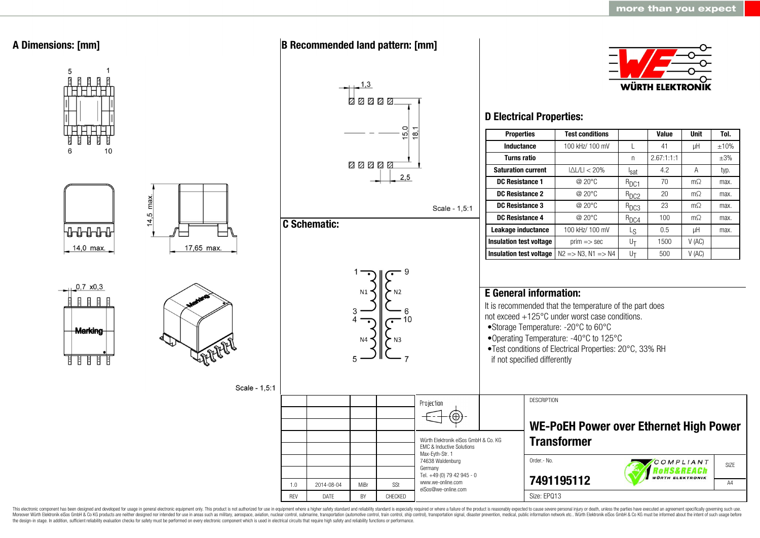

This electronic component has been designed and developed for usage in general electronic equipment only. This product is not authorized for use in equipment where a higher safety standard and reliability standard is espec Moreover Würth Elektronik eiSos GmbH & Co KG products are neither designed nor intended for use in areas such as military, aerospace, aviation, nuclear control, submarine, transportation (automotive control, ship control), the design-in stage. In addition, sufficient reliability evaluation checks for safety must be performed on every electronic component which is used in electrical circuits that require high safety and reliability functions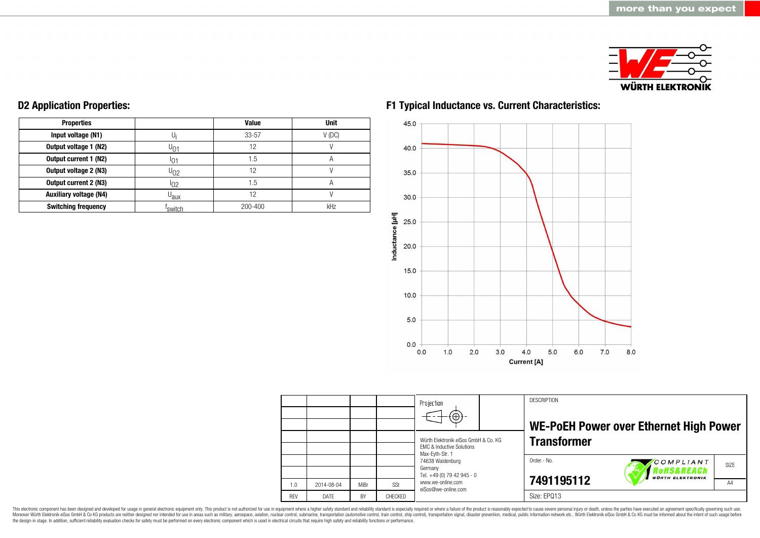

| <b>Properties</b>             |                     | <b>Value</b> | <b>Unit</b>    |
|-------------------------------|---------------------|--------------|----------------|
| Input voltage (N1)            |                     | $33 - 57$    | $V$ (DC)       |
| Output voltage 1 (N2)         | ∪∩1                 | 12           |                |
| Output current 1 (N2)         | 10                  | 1.5          | $\overline{A}$ |
| Output voltage 2 (N3)         | სეჷ                 | 12           |                |
| Output current 2 (N3)         | <sup>1</sup> 02     | 1.5          | A              |
| <b>Auxiliary voltage (N4)</b> | U <sub>aux</sub>    | 12           |                |
| <b>Switching frequency</b>    | <sup>T</sup> switch | 200-400      | kHz            |

### **D2 Application Properties:**

### **F1 Typical Inductance vs. Current Characteristics:**



|            |             |      |         | Projection<br>$(\oplus)$                                                     | <b>DESCRIPTION</b> | WE-PoEH Power over Ethernet High Power    |      |
|------------|-------------|------|---------|------------------------------------------------------------------------------|--------------------|-------------------------------------------|------|
|            |             |      |         | Würth Elektronik eiSos GmbH & Co. KG<br><b>FMC &amp; Inductive Solutions</b> | <b>Transformer</b> |                                           |      |
|            |             |      |         | Max-Eyth-Str. 1<br>74638 Waldenburg<br>Germany                               | Order.- No.        | COMPLIANT<br><i><b>RoHS&amp;REACh</b></i> | SIZE |
| 1.0        | 2014-08-04  | MiBr | SSt     | Tel. +49 (0) 79 42 945 - 0<br>www.we-online.com<br>eiSos@we-online.com       | 7491195112         | <b>WÜRTH ELEKTRONIK</b>                   | A4   |
| <b>REV</b> | <b>DATE</b> | BY   | CHECKED |                                                                              | Size: EPQ13        |                                           |      |

This electronic component has been designed and developed for usage in general electronic equipment only. This product is not authorized for use in equipment where a higher safety standard and reliability standard is espec Moreover Würth Elektronik eiSos GmbH & Co KG products are neither designed nor intended for use in areas such as military, aerospace, aviation, nuclear control, submarine, transportation (automotive control), stain control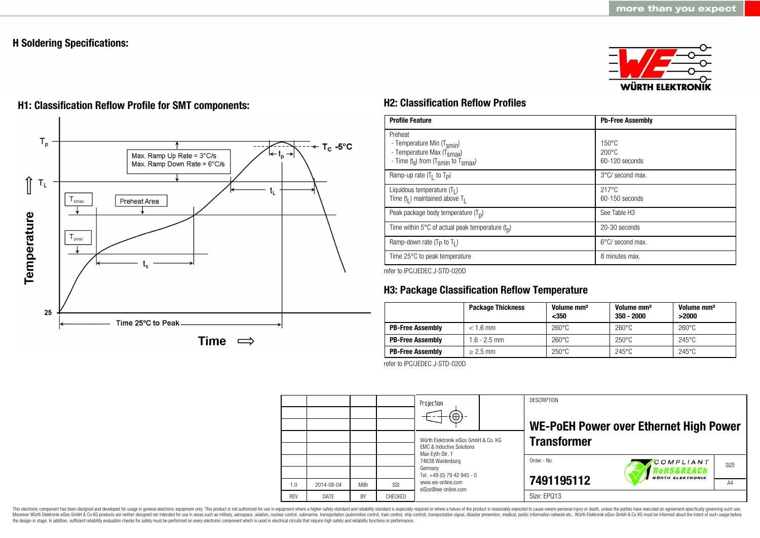### **H Soldering Specifications:**





## **H1: Classification Reflow Profile for SMT components: H2: Classification Reflow Profiles**

| <b>Profile Feature</b>                                                                                                                        | <b>Pb-Free Assembly</b>                               |
|-----------------------------------------------------------------------------------------------------------------------------------------------|-------------------------------------------------------|
| Preheat<br>- Temperature Min (T <sub>smin</sub> )<br>- Temperature Max (T <sub>Smax</sub> )<br>- Time $(t_s)$ from $(T_{smin}$ to $T_{smax})$ | $150^{\circ}$ C<br>$200\degree C$<br>$60-120$ seconds |
| Ramp-up rate $(T_1$ to $T_p$ )                                                                                                                | 3°C/ second max.                                      |
| Liquidous temperature $(T1)$<br>Time $(tl)$ maintained above T <sub>1</sub>                                                                   | $217^{\circ}$ C<br>$60-150$ seconds                   |
| Peak package body temperature $(T_n)$                                                                                                         | See Table H <sub>3</sub>                              |
| Time within 5°C of actual peak temperature $(t_n)$                                                                                            | 20-30 seconds                                         |
| Ramp-down rate ( $T_P$ to $T_I$ )                                                                                                             | 6°C/ second max.                                      |
| Time 25°C to peak temperature                                                                                                                 | 8 minutes max.                                        |

refer to IPC/JEDEC J-STD-020D

### **H3: Package Classification Reflow Temperature**

|                         | <b>Package Thickness</b> | Volume mm <sup>3</sup><br>$350$ | Volume mm <sup>3</sup><br>$350 - 2000$ | Volume mm <sup>3</sup><br>>2000 |
|-------------------------|--------------------------|---------------------------------|----------------------------------------|---------------------------------|
| <b>PB-Free Assembly</b> | $< 1.6$ mm               | $260^{\circ}$ C                 | $260^{\circ}$ C                        | $260^{\circ}$ C                 |
| <b>PB-Free Assembly</b> | $1.6 - 2.5$ mm           | $260^{\circ}$ C                 | $250^{\circ}$ C                        | $245^{\circ}$ C                 |
| <b>PB-Free Assembly</b> | $> 2.5$ mm               | $250^{\circ}$ C                 | $245^{\circ}$ C                        | $245^{\circ}$ C                 |

refer to IPC/JEDEC J-STD-020D

|            |            |           |         | Projection                                                                   |  | <b>DESCRIPTION</b> |                                                 |                  |
|------------|------------|-----------|---------|------------------------------------------------------------------------------|--|--------------------|-------------------------------------------------|------------------|
|            |            |           |         |                                                                              |  |                    | <b>WE-POEH Power over Ethernet High Power</b>   |                  |
|            |            |           |         | Würth Elektronik eiSos GmbH & Co. KG<br><b>FMC &amp; Inductive Solutions</b> |  | <b>Transformer</b> |                                                 |                  |
|            |            |           |         | Max-Eyth-Str. 1<br>74638 Waldenburg<br>Germany                               |  | Order.- No.        | COMPLIANT                                       | SI <sub>7F</sub> |
|            |            |           |         | Tel. +49 (0) 79 42 945 - 0                                                   |  |                    | <b>OHS&amp;REACh</b><br><b>WÜRTH ELEKTRONIK</b> |                  |
| 1.0        | 2014-08-04 | MiBr      | SSt     | www.we-online.com<br>eiSos@we-online.com                                     |  | 7491195112         |                                                 | A4               |
| <b>REV</b> | DATE       | <b>BY</b> | CHECKED |                                                                              |  | Size: EPQ13        |                                                 |                  |

This electronic component has been designed and developed for usage in general electronic equipment only. This product is not authorized for use in equipment where a higher safety standard and reliability standard and reli Moreover Würth Elektronik eiSos GmbH & Co KG products are neither designed nor intended for use in areas such as military, aerospace, aviation, nuclear control, submarine, transportation (automotive control), stain control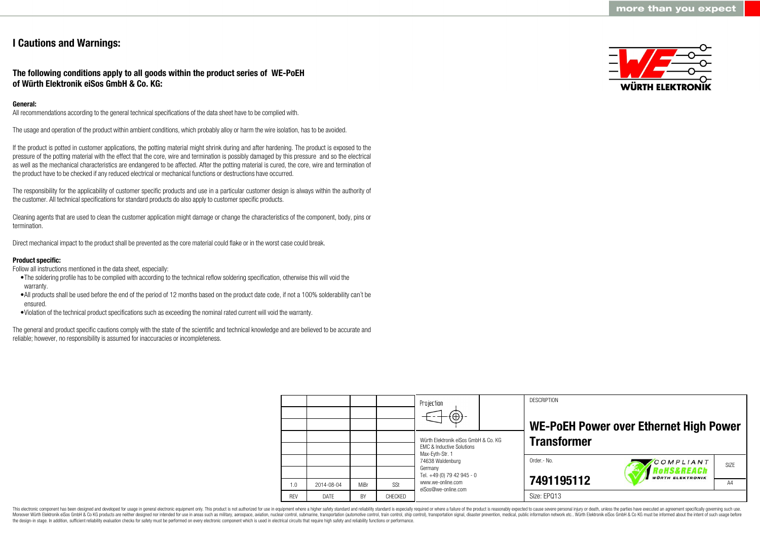### **I Cautions and Warnings:**

### **The following conditions apply to all goods within the product series of WE-PoEH of Würth Elektronik eiSos GmbH & Co. KG:**

### **General:**

All recommendations according to the general technical specifications of the data sheet have to be complied with.

The usage and operation of the product within ambient conditions, which probably alloy or harm the wire isolation, has to be avoided.

If the product is potted in customer applications, the potting material might shrink during and after hardening. The product is exposed to the pressure of the potting material with the effect that the core, wire and termination is possibly damaged by this pressure and so the electrical as well as the mechanical characteristics are endangered to be affected. After the potting material is cured, the core, wire and termination of the product have to be checked if any reduced electrical or mechanical functions or destructions have occurred.

The responsibility for the applicability of customer specific products and use in a particular customer design is always within the authority of the customer. All technical specifications for standard products do also apply to customer specific products.

Cleaning agents that are used to clean the customer application might damage or change the characteristics of the component, body, pins or termination.

Direct mechanical impact to the product shall be prevented as the core material could flake or in the worst case could break.

#### **Product specific:**

Follow all instructions mentioned in the data sheet, especially:

- •The soldering profile has to be complied with according to the technical reflow soldering specification, otherwise this will void the warranty.
- •All products shall be used before the end of the period of 12 months based on the product date code, if not a 100% solderability can´t be ensured.
- •Violation of the technical product specifications such as exceeding the nominal rated current will void the warranty.

The general and product specific cautions comply with the state of the scientific and technical knowledge and are believed to be accurate and reliable; however, no responsibility is assumed for inaccuracies or incompleteness.



|            |             |      |         | Projection<br>$\Theta$                                                                          | <b>DESCRIPTION</b> | WE-PoEH Power over Ethernet High Power            |      |
|------------|-------------|------|---------|-------------------------------------------------------------------------------------------------|--------------------|---------------------------------------------------|------|
|            |             |      |         | Würth Elektronik eiSos GmbH & Co. KG<br><b>EMC &amp; Inductive Solutions</b><br>Max-Evth-Str. 1 | <b>Transformer</b> |                                                   |      |
|            |             |      |         | 74638 Waldenburg<br>Germany<br>Tel. +49 (0) 79 42 945 - 0                                       | Order .- No.       | COMPLIANT<br>oHS&REACh<br><b>WÜRTH ELEKTRONIK</b> | SIZE |
| 1.0        | 2014-08-04  | MiBr | SSt     | www.we-online.com<br>eiSos@we-online.com                                                        | 7491195112         |                                                   | A4   |
| <b>REV</b> | <b>DATE</b> | BY   | CHECKED |                                                                                                 | Size: EPQ13        |                                                   |      |

This electronic component has been designed and developed for usage in general electronic equipment only. This product is not authorized for use in equipment where a higher safety standard and reliability standard is espec Moreover Würth Elektronik eiSos GmbH & Co KG products are neither designed nor intended for use in areas such as military, aerospace, aviation, nuclear control, submarine, transportation (automotive control), tain control) the design-in stage. In addition, sufficient reliability evaluation checks for safety must be performed on every electronic component which is used in electrical circuits that require high safety and reliability functions